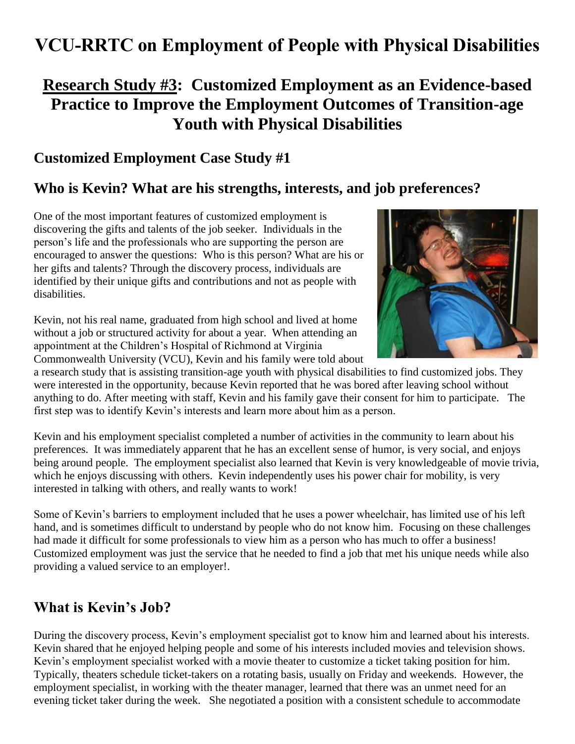# **VCU-RRTC on Employment of People with Physical Disabilities**

## **Research Study #3: Customized Employment as an Evidence-based Practice to Improve the Employment Outcomes of Transition-age Youth with Physical Disabilities**

### **Customized Employment Case Study #1**

### **Who is Kevin? What are his strengths, interests, and job preferences?**

One of the most important features of customized employment is discovering the gifts and talents of the job seeker. Individuals in the person's life and the professionals who are supporting the person are encouraged to answer the questions: Who is this person? What are his or her gifts and talents? Through the discovery process, individuals are identified by their unique gifts and contributions and not as people with disabilities.

Kevin, not his real name, graduated from high school and lived at home without a job or structured activity for about a year. When attending an appointment at the Children's Hospital of Richmond at Virginia Commonwealth University (VCU), Kevin and his family were told about



a research study that is assisting transition-age youth with physical disabilities to find customized jobs. They were interested in the opportunity, because Kevin reported that he was bored after leaving school without anything to do. After meeting with staff, Kevin and his family gave their consent for him to participate. The first step was to identify Kevin's interests and learn more about him as a person.

Kevin and his employment specialist completed a number of activities in the community to learn about his preferences. It was immediately apparent that he has an excellent sense of humor, is very social, and enjoys being around people. The employment specialist also learned that Kevin is very knowledgeable of movie trivia, which he enjoys discussing with others. Kevin independently uses his power chair for mobility, is very interested in talking with others, and really wants to work!

Some of Kevin's barriers to employment included that he uses a power wheelchair, has limited use of his left hand, and is sometimes difficult to understand by people who do not know him. Focusing on these challenges had made it difficult for some professionals to view him as a person who has much to offer a business! Customized employment was just the service that he needed to find a job that met his unique needs while also providing a valued service to an employer!.

### **What is Kevin's Job?**

During the discovery process, Kevin's employment specialist got to know him and learned about his interests. Kevin shared that he enjoyed helping people and some of his interests included movies and television shows. Kevin's employment specialist worked with a movie theater to customize a ticket taking position for him. Typically, theaters schedule ticket-takers on a rotating basis, usually on Friday and weekends. However, the employment specialist, in working with the theater manager, learned that there was an unmet need for an evening ticket taker during the week. She negotiated a position with a consistent schedule to accommodate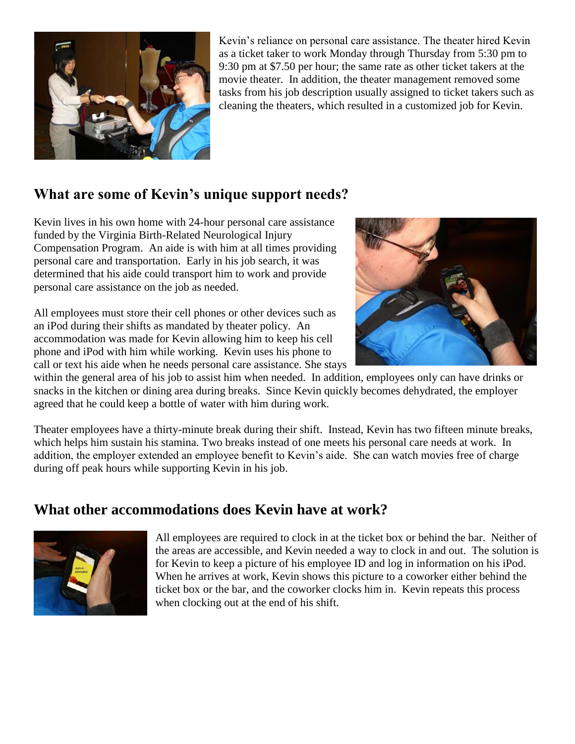

Kevin's reliance on personal care assistance. The theater hired Kevin as a ticket taker to work Monday through Thursday from 5:30 pm to 9:30 pm at \$7.50 per hour; the same rate as other ticket takers at the movie theater. In addition, the theater management removed some tasks from his job description usually assigned to ticket takers such as cleaning the theaters, which resulted in a customized job for Kevin.

### **What are some of Kevin's unique support needs?**

Kevin lives in his own home with 24-hour personal care assistance funded by the Virginia Birth-Related Neurological Injury Compensation Program. An aide is with him at all times providing personal care and transportation. Early in his job search, it was determined that his aide could transport him to work and provide personal care assistance on the job as needed.

All employees must store their cell phones or other devices such as an iPod during their shifts as mandated by theater policy. An accommodation was made for Kevin allowing him to keep his cell phone and iPod with him while working. Kevin uses his phone to call or text his aide when he needs personal care assistance. She stays



within the general area of his job to assist him when needed. In addition, employees only can have drinks or snacks in the kitchen or dining area during breaks. Since Kevin quickly becomes dehydrated, the employer agreed that he could keep a bottle of water with him during work.

Theater employees have a thirty-minute break during their shift. Instead, Kevin has two fifteen minute breaks, which helps him sustain his stamina. Two breaks instead of one meets his personal care needs at work. In addition, the employer extended an employee benefit to Kevin's aide. She can watch movies free of charge during off peak hours while supporting Kevin in his job.

### **What other accommodations does Kevin have at work?**



All employees are required to clock in at the ticket box or behind the bar. Neither of the areas are accessible, and Kevin needed a way to clock in and out. The solution is for Kevin to keep a picture of his employee ID and log in information on his iPod. When he arrives at work, Kevin shows this picture to a coworker either behind the ticket box or the bar, and the coworker clocks him in. Kevin repeats this process when clocking out at the end of his shift.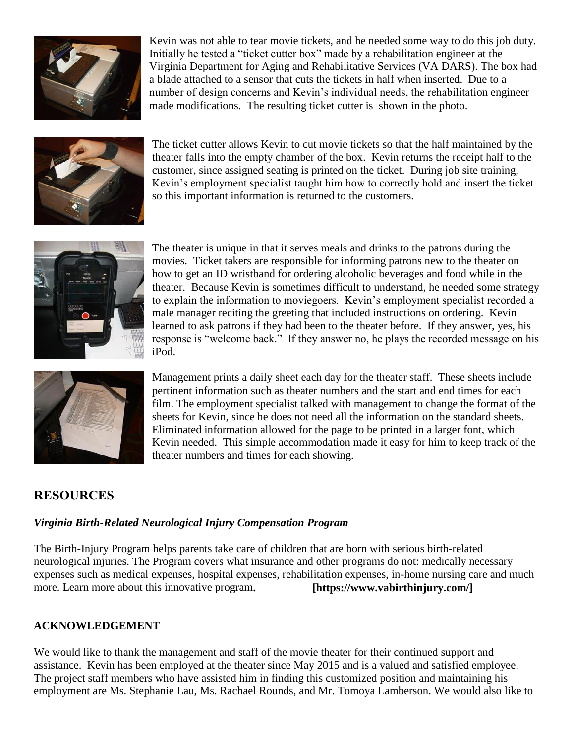

Kevin was not able to tear movie tickets, and he needed some way to do this job duty. Initially he tested a "ticket cutter box" made by a rehabilitation engineer at the Virginia Department for Aging and Rehabilitative Services (VA DARS). The box had a blade attached to a sensor that cuts the tickets in half when inserted. Due to a number of design concerns and Kevin's individual needs, the rehabilitation engineer made modifications. The resulting ticket cutter is shown in the photo.



The ticket cutter allows Kevin to cut movie tickets so that the half maintained by the theater falls into the empty chamber of the box. Kevin returns the receipt half to the customer, since assigned seating is printed on the ticket. During job site training, Kevin's employment specialist taught him how to correctly hold and insert the ticket so this important information is returned to the customers.



The theater is unique in that it serves meals and drinks to the patrons during the movies. Ticket takers are responsible for informing patrons new to the theater on how to get an ID wristband for ordering alcoholic beverages and food while in the theater. Because Kevin is sometimes difficult to understand, he needed some strategy to explain the information to moviegoers. Kevin's employment specialist recorded a male manager reciting the greeting that included instructions on ordering. Kevin learned to ask patrons if they had been to the theater before. If they answer, yes, his response is "welcome back." If they answer no, he plays the recorded message on his iPod.



Management prints a daily sheet each day for the theater staff. These sheets include pertinent information such as theater numbers and the start and end times for each film. The employment specialist talked with management to change the format of the sheets for Kevin, since he does not need all the information on the standard sheets. Eliminated information allowed for the page to be printed in a larger font, which Kevin needed. This simple accommodation made it easy for him to keep track of the theater numbers and times for each showing.

#### **RESOURCES**

#### *Virginia Birth-Related Neurological Injury Compensation Program*

The Birth-Injury Program helps parents take care of children that are born with serious birth-related neurological injuries. The Program covers what insurance and other programs do not: medically necessary expenses such as medical expenses, hospital expenses, rehabilitation expenses, in-home nursing care and much more. Learn more about this innovative program. **[https://www.vabirthinjury.com/]** 

#### **ACKNOWLEDGEMENT**

We would like to thank the management and staff of the movie theater for their continued support and assistance. Kevin has been employed at the theater since May 2015 and is a valued and satisfied employee. The project staff members who have assisted him in finding this customized position and maintaining his employment are Ms. Stephanie Lau, Ms. Rachael Rounds, and Mr. Tomoya Lamberson. We would also like to